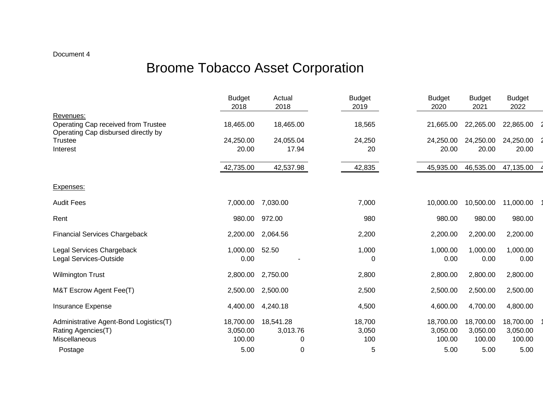## Document 4

## Broome Tobacco Asset Corporation

| 2018<br>2020<br>2021<br>2018<br>2019                                                                                                     | 2022      |
|------------------------------------------------------------------------------------------------------------------------------------------|-----------|
| Revenues:                                                                                                                                |           |
| Operating Cap received from Trustee<br>18,465.00<br>18,565<br>18,465.00<br>21,665.00<br>22,265.00<br>Operating Cap disbursed directly by | 22,865.00 |
| 24,250.00<br>24,055.04<br>24,250<br>24,250.00<br>24,250.00<br><b>Trustee</b>                                                             | 24,250.00 |
| 17.94<br>20.00<br>20.00<br>20.00<br>20<br>Interest                                                                                       | 20.00     |
| 42,735.00<br>42,537.98<br>42,835<br>46,535.00<br>45,935.00                                                                               | 47,135.00 |
| Expenses:                                                                                                                                |           |
| <b>Audit Fees</b><br>7,030.00<br>7,000<br>10,000.00<br>10,500.00<br>7,000.00                                                             | 11,000.00 |
| 980<br>980.00<br>980.00<br>972.00<br>980.00<br>Rent                                                                                      | 980.00    |
| <b>Financial Services Chargeback</b><br>2,200.00<br>2,064.56<br>2,200<br>2,200.00<br>2,200.00                                            | 2,200.00  |
| Legal Services Chargeback<br>1,000.00<br>52.50<br>1,000<br>1,000.00<br>1,000.00                                                          | 1,000.00  |
| Legal Services-Outside<br>0.00<br>0<br>0.00<br>0.00                                                                                      | 0.00      |
| <b>Wilmington Trust</b><br>2,800.00<br>2,750.00<br>2,800<br>2,800.00<br>2,800.00                                                         | 2,800.00  |
| 2,500.00<br>2,500<br>2,500.00<br>M&T Escrow Agent Fee(T)<br>2,500.00<br>2,500.00                                                         | 2,500.00  |
| 4,240.18<br>4,700.00<br>Insurance Expense<br>4,400.00<br>4,500<br>4,600.00                                                               | 4,800.00  |
| Administrative Agent-Bond Logistics(T)<br>18,541.28<br>18,700<br>18,700.00<br>18,700.00<br>18,700.00                                     | 18,700.00 |
| 3,050<br>3,050.00<br>Rating Agencies(T)<br>3,050.00<br>3,013.76<br>3,050.00                                                              | 3,050.00  |
| Miscellaneous<br>100.00<br>100<br>100.00<br>100.00<br>0                                                                                  | 100.00    |
| 5<br>5.00<br>5.00<br>0<br>5.00<br>Postage                                                                                                | 5.00      |